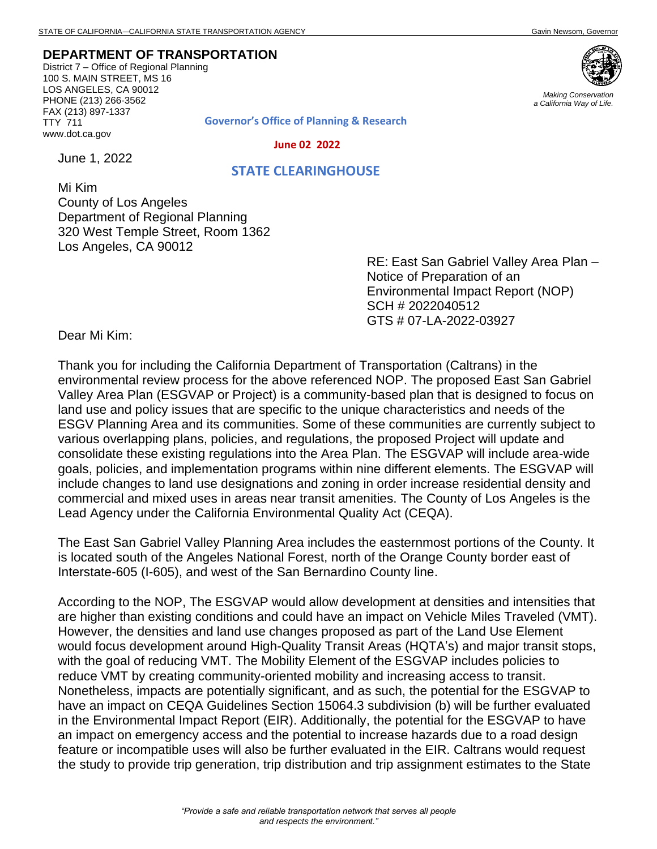**DEPARTMENT OF TRANSPORTATION**

District 7 – Office of Regional Planning 100 S. MAIN STREET, MS 16 LOS ANGELES, CA 90012 PHONE (213) 266-3562 FAX (213) 897-1337 TTY 711 www.dot.ca.gov



*Making Conservation a California Way of Life.*

**Governor's Office of Planning & Research**

 **June 02 2022**

June 1, 2022

## **STATE CLEARINGHOUSE**

Mi Kim County of Los Angeles Department of Regional Planning 320 West Temple Street, Room 1362 Los Angeles, CA 90012

> RE: East San Gabriel Valley Area Plan – Notice of Preparation of an Environmental Impact Report (NOP) SCH # 2022040512 GTS # 07-LA-2022-03927

Dear Mi Kim:

Thank you for including the California Department of Transportation (Caltrans) in the environmental review process for the above referenced NOP. The proposed East San Gabriel Valley Area Plan (ESGVAP or Project) is a community-based plan that is designed to focus on land use and policy issues that are specific to the unique characteristics and needs of the ESGV Planning Area and its communities. Some of these communities are currently subject to various overlapping plans, policies, and regulations, the proposed Project will update and consolidate these existing regulations into the Area Plan. The ESGVAP will include area-wide goals, policies, and implementation programs within nine different elements. The ESGVAP will include changes to land use designations and zoning in order increase residential density and commercial and mixed uses in areas near transit amenities. The County of Los Angeles is the Lead Agency under the California Environmental Quality Act (CEQA).

The East San Gabriel Valley Planning Area includes the easternmost portions of the County. It is located south of the Angeles National Forest, north of the Orange County border east of Interstate-605 (I-605), and west of the San Bernardino County line.

According to the NOP, The ESGVAP would allow development at densities and intensities that are higher than existing conditions and could have an impact on Vehicle Miles Traveled (VMT). However, the densities and land use changes proposed as part of the Land Use Element would focus development around High-Quality Transit Areas (HQTA's) and major transit stops, with the goal of reducing VMT. The Mobility Element of the ESGVAP includes policies to reduce VMT by creating community-oriented mobility and increasing access to transit. Nonetheless, impacts are potentially significant, and as such, the potential for the ESGVAP to have an impact on CEQA Guidelines Section 15064.3 subdivision (b) will be further evaluated in the Environmental Impact Report (EIR). Additionally, the potential for the ESGVAP to have an impact on emergency access and the potential to increase hazards due to a road design feature or incompatible uses will also be further evaluated in the EIR. Caltrans would request the study to provide trip generation, trip distribution and trip assignment estimates to the State